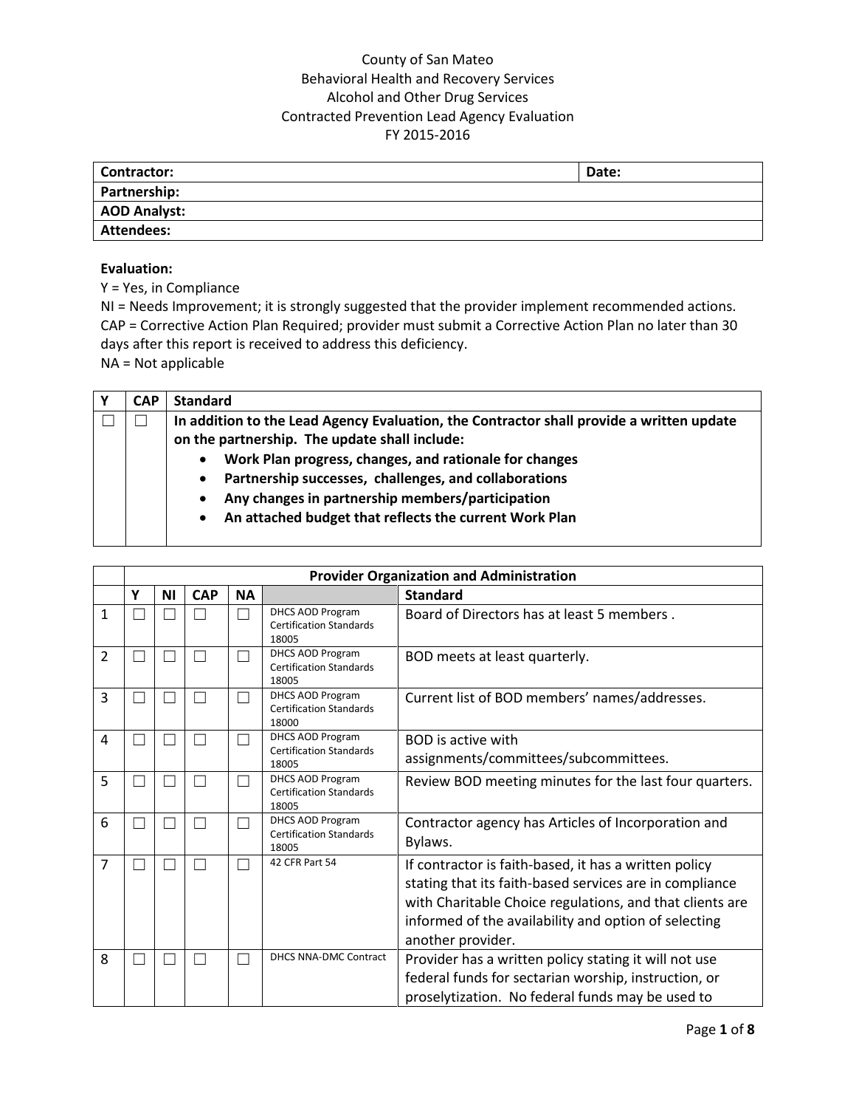| <b>Contractor:</b>  | Date: |
|---------------------|-------|
| Partnership:        |       |
| <b>AOD Analyst:</b> |       |
| <b>Attendees:</b>   |       |

#### **Evaluation:**

Y = Yes, in Compliance

NI = Needs Improvement; it is strongly suggested that the provider implement recommended actions. CAP = Corrective Action Plan Required; provider must submit a Corrective Action Plan no later than 30 days after this report is received to address this deficiency. NA = Not applicable

**Y CAP Standard** ☐ ☐ **In addition to the Lead Agency Evaluation, the Contractor shall provide a written update on the partnership. The update shall include: Work Plan progress, changes, and rationale for changes Partnership successes, challenges, and collaborations Any changes in partnership members/participation An attached budget that reflects the current Work Plan**

|   |   |           |            |           |                                                                    | <b>Provider Organization and Administration</b>                                                                                                                                                                                                           |
|---|---|-----------|------------|-----------|--------------------------------------------------------------------|-----------------------------------------------------------------------------------------------------------------------------------------------------------------------------------------------------------------------------------------------------------|
|   | Y | <b>NI</b> | <b>CAP</b> | <b>NA</b> |                                                                    | <b>Standard</b>                                                                                                                                                                                                                                           |
| 1 |   |           |            |           | DHCS AOD Program<br><b>Certification Standards</b><br>18005        | Board of Directors has at least 5 members.                                                                                                                                                                                                                |
| 2 |   |           |            |           | <b>DHCS AOD Program</b><br><b>Certification Standards</b><br>18005 | BOD meets at least quarterly.                                                                                                                                                                                                                             |
| 3 |   |           |            |           | <b>DHCS AOD Program</b><br><b>Certification Standards</b><br>18000 | Current list of BOD members' names/addresses.                                                                                                                                                                                                             |
| 4 |   |           |            |           | <b>DHCS AOD Program</b><br><b>Certification Standards</b><br>18005 | <b>BOD</b> is active with<br>assignments/committees/subcommittees.                                                                                                                                                                                        |
| 5 |   |           |            |           | <b>DHCS AOD Program</b><br><b>Certification Standards</b><br>18005 | Review BOD meeting minutes for the last four quarters.                                                                                                                                                                                                    |
| 6 |   |           |            |           | <b>DHCS AOD Program</b><br><b>Certification Standards</b><br>18005 | Contractor agency has Articles of Incorporation and<br>Bylaws.                                                                                                                                                                                            |
| 7 |   |           |            |           | 42 CFR Part 54                                                     | If contractor is faith-based, it has a written policy<br>stating that its faith-based services are in compliance<br>with Charitable Choice regulations, and that clients are<br>informed of the availability and option of selecting<br>another provider. |
| 8 |   |           |            |           | <b>DHCS NNA-DMC Contract</b>                                       | Provider has a written policy stating it will not use<br>federal funds for sectarian worship, instruction, or<br>proselytization. No federal funds may be used to                                                                                         |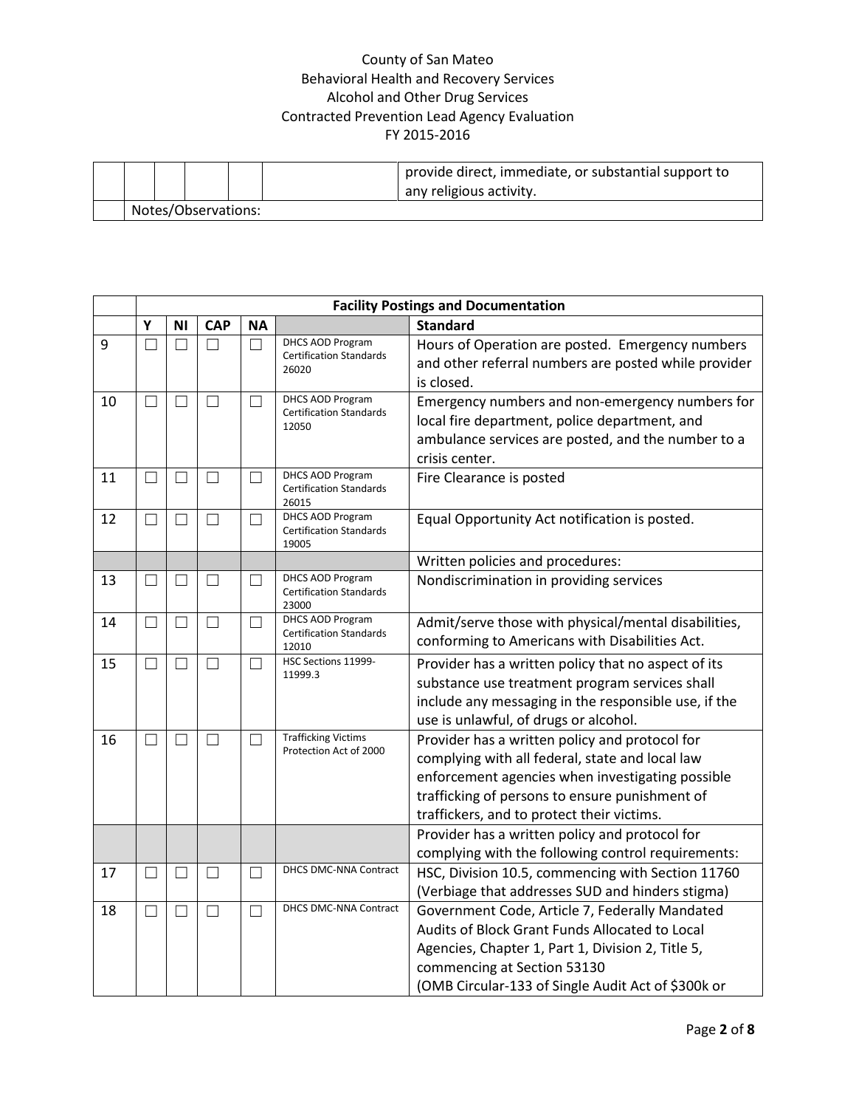|                     |  |  | provide direct, immediate, or substantial support to<br>any religious activity. |  |  |  |  |
|---------------------|--|--|---------------------------------------------------------------------------------|--|--|--|--|
| Notes/Observations: |  |  |                                                                                 |  |  |  |  |

|    |                          |                   |            |                          |                                                           | <b>Facility Postings and Documentation</b>           |
|----|--------------------------|-------------------|------------|--------------------------|-----------------------------------------------------------|------------------------------------------------------|
|    | Υ                        | ΝI                | <b>CAP</b> | <b>NA</b>                |                                                           | <b>Standard</b>                                      |
| 9  |                          |                   |            | $\Box$                   | DHCS AOD Program<br><b>Certification Standards</b>        | Hours of Operation are posted. Emergency numbers     |
|    |                          |                   |            |                          | 26020                                                     | and other referral numbers are posted while provider |
|    |                          |                   |            |                          |                                                           | is closed.                                           |
| 10 | $\Box$                   | $\Box$            | $\Box$     | - 1                      | DHCS AOD Program<br><b>Certification Standards</b>        | Emergency numbers and non-emergency numbers for      |
|    |                          |                   |            |                          | 12050                                                     | local fire department, police department, and        |
|    |                          |                   |            |                          |                                                           | ambulance services are posted, and the number to a   |
|    |                          |                   |            |                          |                                                           | crisis center.                                       |
| 11 | $\Box$                   | $\vert \ \ \vert$ | П          | $\overline{\phantom{0}}$ | <b>DHCS AOD Program</b><br><b>Certification Standards</b> | Fire Clearance is posted                             |
|    |                          |                   |            |                          | 26015                                                     |                                                      |
| 12 | $\overline{\phantom{0}}$ |                   | H          |                          | DHCS AOD Program                                          | Equal Opportunity Act notification is posted.        |
|    |                          |                   |            |                          | <b>Certification Standards</b><br>19005                   |                                                      |
|    |                          |                   |            |                          |                                                           | Written policies and procedures:                     |
| 13 | $\Box$                   | ┓                 | П          | ┐                        | DHCS AOD Program                                          | Nondiscrimination in providing services              |
|    |                          |                   |            |                          | <b>Certification Standards</b><br>23000                   |                                                      |
| 14 | $\Box$                   | П                 | П          | $\blacksquare$           | DHCS AOD Program                                          | Admit/serve those with physical/mental disabilities, |
|    |                          |                   |            |                          | <b>Certification Standards</b><br>12010                   | conforming to Americans with Disabilities Act.       |
| 15 | $\Box$                   | П                 | П          | П                        | HSC Sections 11999-                                       | Provider has a written policy that no aspect of its  |
|    |                          |                   |            |                          | 11999.3                                                   | substance use treatment program services shall       |
|    |                          |                   |            |                          |                                                           | include any messaging in the responsible use, if the |
|    |                          |                   |            |                          |                                                           | use is unlawful, of drugs or alcohol.                |
| 16 | П                        |                   | П          |                          | <b>Trafficking Victims</b>                                | Provider has a written policy and protocol for       |
|    |                          |                   |            |                          | Protection Act of 2000                                    | complying with all federal, state and local law      |
|    |                          |                   |            |                          |                                                           | enforcement agencies when investigating possible     |
|    |                          |                   |            |                          |                                                           | trafficking of persons to ensure punishment of       |
|    |                          |                   |            |                          |                                                           | traffickers, and to protect their victims.           |
|    |                          |                   |            |                          |                                                           | Provider has a written policy and protocol for       |
|    |                          |                   |            |                          |                                                           | complying with the following control requirements:   |
| 17 | $\Box$                   | П                 | $\Box$     | $\Box$                   | DHCS DMC-NNA Contract                                     | HSC, Division 10.5, commencing with Section 11760    |
|    |                          |                   |            |                          |                                                           | (Verbiage that addresses SUD and hinders stigma)     |
| 18 | $\Box$                   | П                 | $\Box$     | П                        | <b>DHCS DMC-NNA Contract</b>                              | Government Code, Article 7, Federally Mandated       |
|    |                          |                   |            |                          |                                                           | Audits of Block Grant Funds Allocated to Local       |
|    |                          |                   |            |                          |                                                           | Agencies, Chapter 1, Part 1, Division 2, Title 5,    |
|    |                          |                   |            |                          |                                                           | commencing at Section 53130                          |
|    |                          |                   |            |                          |                                                           | (OMB Circular-133 of Single Audit Act of \$300k or   |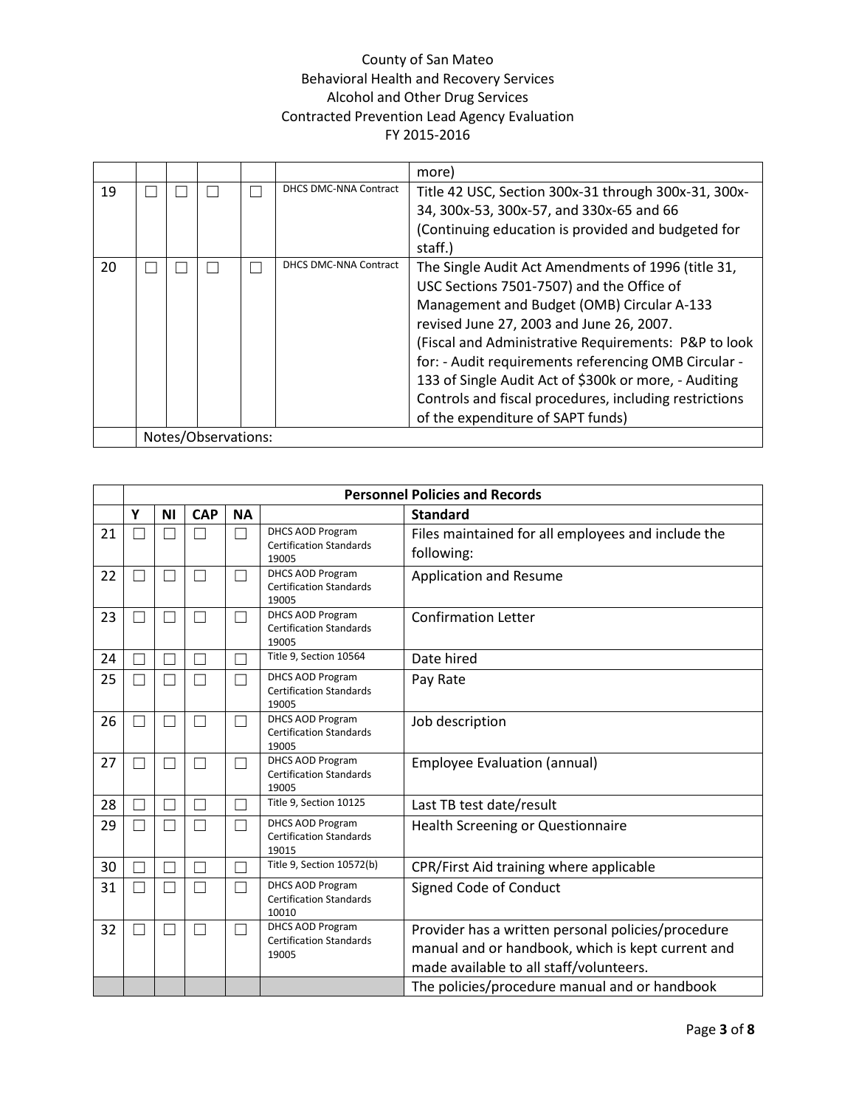|    |  |                     |                              | more)                                                                                                                                                                                                                                                                                                                                                                                                                                                             |
|----|--|---------------------|------------------------------|-------------------------------------------------------------------------------------------------------------------------------------------------------------------------------------------------------------------------------------------------------------------------------------------------------------------------------------------------------------------------------------------------------------------------------------------------------------------|
| 19 |  |                     | <b>DHCS DMC-NNA Contract</b> | Title 42 USC, Section 300x-31 through 300x-31, 300x-<br>34, 300x-53, 300x-57, and 330x-65 and 66<br>(Continuing education is provided and budgeted for<br>staff.)                                                                                                                                                                                                                                                                                                 |
| 20 |  |                     | <b>DHCS DMC-NNA Contract</b> | The Single Audit Act Amendments of 1996 (title 31,<br>USC Sections 7501-7507) and the Office of<br>Management and Budget (OMB) Circular A-133<br>revised June 27, 2003 and June 26, 2007.<br>(Fiscal and Administrative Requirements: P&P to look<br>for: - Audit requirements referencing OMB Circular -<br>133 of Single Audit Act of \$300k or more, - Auditing<br>Controls and fiscal procedures, including restrictions<br>of the expenditure of SAPT funds) |
|    |  | Notes/Observations: |                              |                                                                                                                                                                                                                                                                                                                                                                                                                                                                   |

|    |   |           |               |           |                                                                    | <b>Personnel Policies and Records</b>                                                                                                              |
|----|---|-----------|---------------|-----------|--------------------------------------------------------------------|----------------------------------------------------------------------------------------------------------------------------------------------------|
|    | Υ | <b>NI</b> | <b>CAP</b>    | <b>NA</b> |                                                                    | <b>Standard</b>                                                                                                                                    |
| 21 |   |           | □             | П         | <b>DHCS AOD Program</b><br><b>Certification Standards</b><br>19005 | Files maintained for all employees and include the<br>following:                                                                                   |
| 22 |   |           | П             | П         | <b>DHCS AOD Program</b><br><b>Certification Standards</b><br>19005 | Application and Resume                                                                                                                             |
| 23 |   |           | П             | П         | DHCS AOD Program<br><b>Certification Standards</b><br>19005        | <b>Confirmation Letter</b>                                                                                                                         |
| 24 |   |           | П             | П         | Title 9, Section 10564                                             | Date hired                                                                                                                                         |
| 25 |   |           | П             |           | DHCS AOD Program<br><b>Certification Standards</b><br>19005        | Pay Rate                                                                                                                                           |
| 26 |   |           | П             | П         | DHCS AOD Program<br><b>Certification Standards</b><br>19005        | Job description                                                                                                                                    |
| 27 |   |           | □             |           | DHCS AOD Program<br><b>Certification Standards</b><br>19005        | <b>Employee Evaluation (annual)</b>                                                                                                                |
| 28 |   |           | $\mathcal{L}$ |           | Title 9, Section 10125                                             | Last TB test date/result                                                                                                                           |
| 29 |   |           | □             |           | <b>DHCS AOD Program</b><br><b>Certification Standards</b><br>19015 | <b>Health Screening or Questionnaire</b>                                                                                                           |
| 30 |   |           | $\Box$        |           | Title 9, Section 10572(b)                                          | CPR/First Aid training where applicable                                                                                                            |
| 31 |   |           | П             | П         | <b>DHCS AOD Program</b><br><b>Certification Standards</b><br>10010 | Signed Code of Conduct                                                                                                                             |
| 32 | ٦ |           | П             | П         | <b>DHCS AOD Program</b><br><b>Certification Standards</b><br>19005 | Provider has a written personal policies/procedure<br>manual and or handbook, which is kept current and<br>made available to all staff/volunteers. |
|    |   |           |               |           |                                                                    | The policies/procedure manual and or handbook                                                                                                      |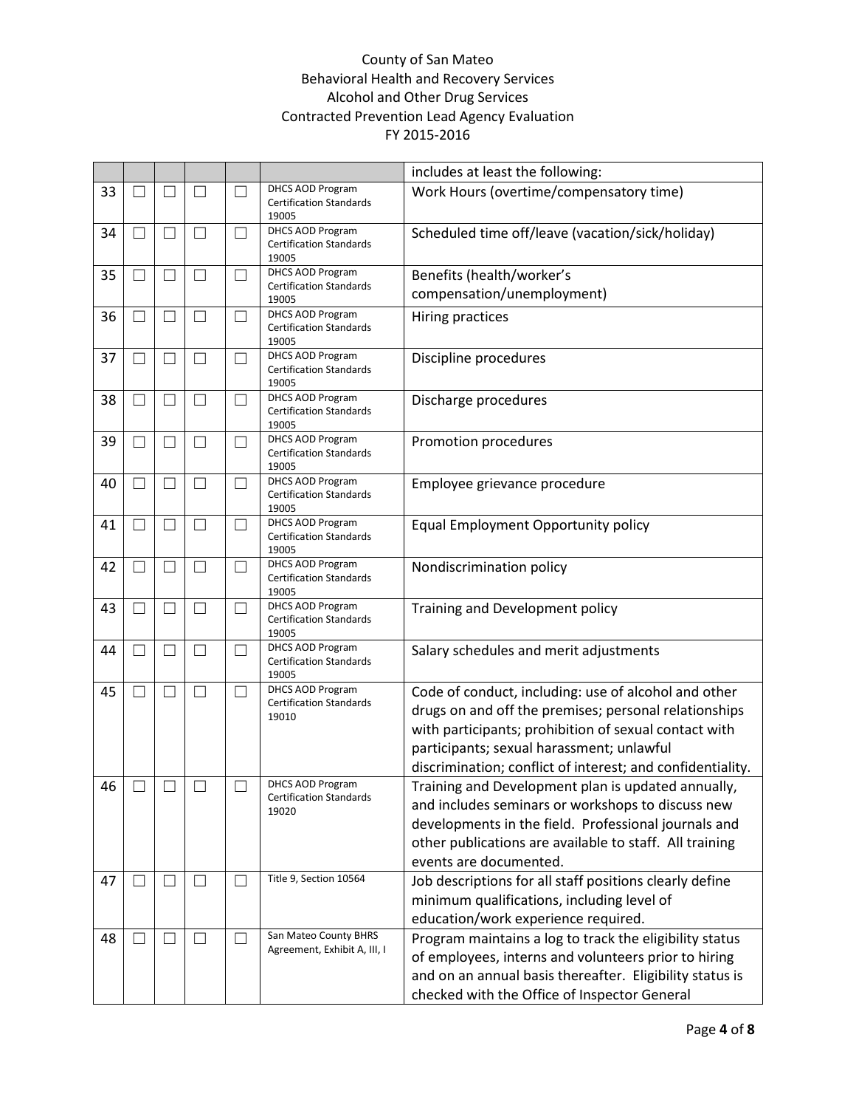|    |               |                          |                   |                          |                                                                    | includes at least the following:                                                                                                                                                                                                                                                  |
|----|---------------|--------------------------|-------------------|--------------------------|--------------------------------------------------------------------|-----------------------------------------------------------------------------------------------------------------------------------------------------------------------------------------------------------------------------------------------------------------------------------|
| 33 |               |                          | $\vert \ \ \vert$ |                          | <b>DHCS AOD Program</b><br><b>Certification Standards</b><br>19005 | Work Hours (overtime/compensatory time)                                                                                                                                                                                                                                           |
| 34 | - 1           | П                        | $\Box$            | $\vert \ \ \vert$        | DHCS AOD Program<br><b>Certification Standards</b><br>19005        | Scheduled time off/leave (vacation/sick/holiday)                                                                                                                                                                                                                                  |
| 35 |               | П                        | $\Box$            | $\Box$                   | DHCS AOD Program                                                   | Benefits (health/worker's                                                                                                                                                                                                                                                         |
|    |               |                          |                   |                          | <b>Certification Standards</b><br>19005                            | compensation/unemployment)                                                                                                                                                                                                                                                        |
| 36 |               | ┚                        | $\Box$            | $\mathcal{L}$            | DHCS AOD Program<br><b>Certification Standards</b><br>19005        | Hiring practices                                                                                                                                                                                                                                                                  |
| 37 |               | $\vert \ \ \vert$        | $\Box$            | $\Box$                   | DHCS AOD Program<br><b>Certification Standards</b><br>19005        | Discipline procedures                                                                                                                                                                                                                                                             |
| 38 |               | $\Box$                   | $\Box$            | $\blacksquare$           | DHCS AOD Program<br><b>Certification Standards</b><br>19005        | Discharge procedures                                                                                                                                                                                                                                                              |
| 39 |               |                          | $\Box$            | $\overline{\phantom{a}}$ | <b>DHCS AOD Program</b><br><b>Certification Standards</b><br>19005 | Promotion procedures                                                                                                                                                                                                                                                              |
| 40 |               | $\overline{\phantom{0}}$ | $\Box$            | $\overline{\phantom{a}}$ | <b>DHCS AOD Program</b><br><b>Certification Standards</b><br>19005 | Employee grievance procedure                                                                                                                                                                                                                                                      |
| 41 | П             | П                        | П                 | $\Box$                   | DHCS AOD Program<br><b>Certification Standards</b><br>19005        | Equal Employment Opportunity policy                                                                                                                                                                                                                                               |
| 42 | $\mathcal{L}$ | $\Box$                   | П                 | $\blacksquare$           | <b>DHCS AOD Program</b><br><b>Certification Standards</b><br>19005 | Nondiscrimination policy                                                                                                                                                                                                                                                          |
| 43 |               | $\vert \ \ \vert$        | $\Box$            | $\overline{\phantom{a}}$ | <b>DHCS AOD Program</b><br><b>Certification Standards</b><br>19005 | Training and Development policy                                                                                                                                                                                                                                                   |
| 44 |               | $\overline{\phantom{0}}$ | $\vert \ \ \vert$ | $\Box$                   | <b>DHCS AOD Program</b><br><b>Certification Standards</b><br>19005 | Salary schedules and merit adjustments                                                                                                                                                                                                                                            |
| 45 | $\mathcal{L}$ | $\Box$                   | $\Box$            | $\Box$                   | <b>DHCS AOD Program</b><br><b>Certification Standards</b><br>19010 | Code of conduct, including: use of alcohol and other<br>drugs on and off the premises; personal relationships<br>with participants; prohibition of sexual contact with<br>participants; sexual harassment; unlawful<br>discrimination; conflict of interest; and confidentiality. |
| 46 | $\Box$        | $\Box$                   | $\Box$            |                          | DHCS AOD Program<br><b>Certification Standards</b><br>19020        | Training and Development plan is updated annually,<br>and includes seminars or workshops to discuss new<br>developments in the field. Professional journals and<br>other publications are available to staff. All training<br>events are documented.                              |
| 47 |               | П                        | $\Box$            | $\Box$                   | Title 9, Section 10564                                             | Job descriptions for all staff positions clearly define<br>minimum qualifications, including level of<br>education/work experience required.                                                                                                                                      |
| 48 |               | П                        | $\Box$            | $\mathsf{L}$             | San Mateo County BHRS<br>Agreement, Exhibit A, III, I              | Program maintains a log to track the eligibility status<br>of employees, interns and volunteers prior to hiring<br>and on an annual basis thereafter. Eligibility status is<br>checked with the Office of Inspector General                                                       |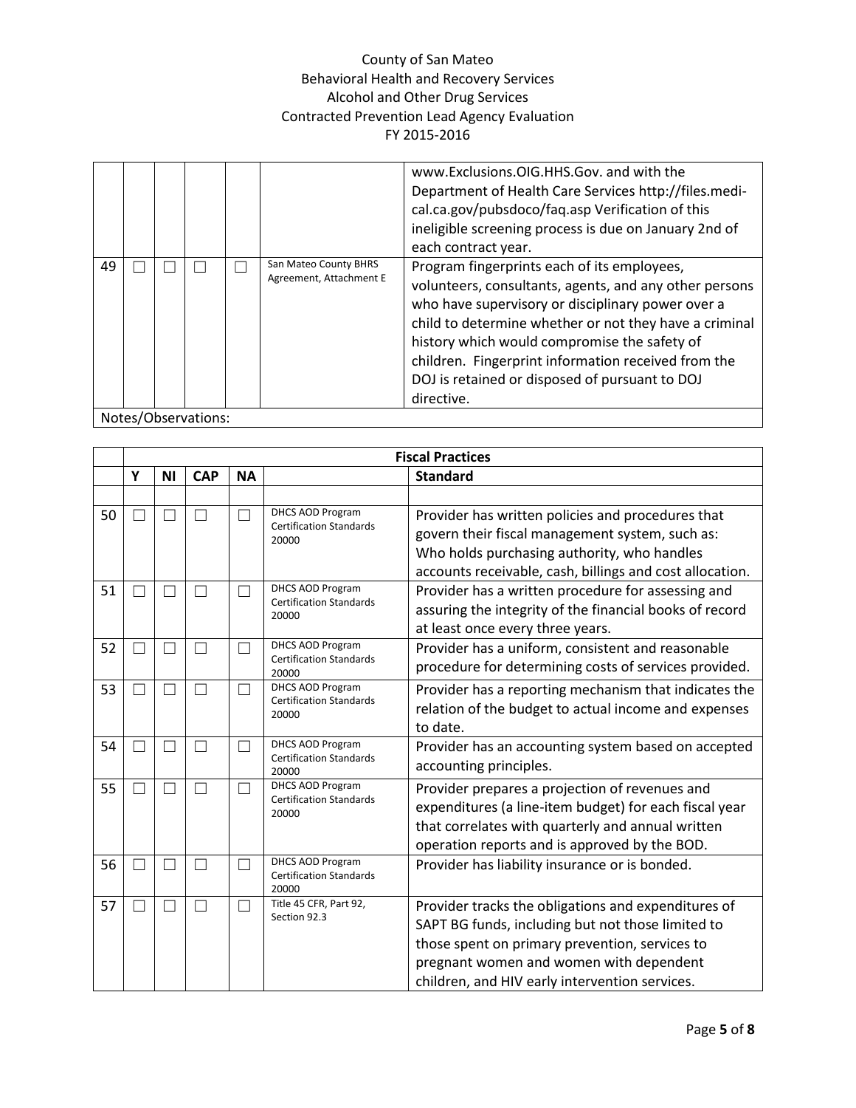|    |  |                     |                                                  | www.Exclusions.OIG.HHS.Gov. and with the<br>Department of Health Care Services http://files.medi-<br>cal.ca.gov/pubsdoco/faq.asp Verification of this<br>ineligible screening process is due on January 2nd of<br>each contract year.                                                                                                                                                       |
|----|--|---------------------|--------------------------------------------------|---------------------------------------------------------------------------------------------------------------------------------------------------------------------------------------------------------------------------------------------------------------------------------------------------------------------------------------------------------------------------------------------|
| 49 |  |                     | San Mateo County BHRS<br>Agreement, Attachment E | Program fingerprints each of its employees,<br>volunteers, consultants, agents, and any other persons<br>who have supervisory or disciplinary power over a<br>child to determine whether or not they have a criminal<br>history which would compromise the safety of<br>children. Fingerprint information received from the<br>DOJ is retained or disposed of pursuant to DOJ<br>directive. |
|    |  | Notes/Observations: |                                                  |                                                                                                                                                                                                                                                                                                                                                                                             |

|    |    |           |            |           |                                                                    | <b>Fiscal Practices</b>                                                                                                                                                                                                                                 |
|----|----|-----------|------------|-----------|--------------------------------------------------------------------|---------------------------------------------------------------------------------------------------------------------------------------------------------------------------------------------------------------------------------------------------------|
|    | Y  | <b>NI</b> | <b>CAP</b> | <b>NA</b> |                                                                    | <b>Standard</b>                                                                                                                                                                                                                                         |
|    |    |           |            |           |                                                                    |                                                                                                                                                                                                                                                         |
| 50 |    |           | П          |           | DHCS AOD Program<br><b>Certification Standards</b><br>20000        | Provider has written policies and procedures that<br>govern their fiscal management system, such as:<br>Who holds purchasing authority, who handles<br>accounts receivable, cash, billings and cost allocation.                                         |
| 51 | ×. |           | $\Box$     |           | <b>DHCS AOD Program</b><br><b>Certification Standards</b><br>20000 | Provider has a written procedure for assessing and<br>assuring the integrity of the financial books of record<br>at least once every three years.                                                                                                       |
| 52 |    |           | П          |           | <b>DHCS AOD Program</b><br><b>Certification Standards</b><br>20000 | Provider has a uniform, consistent and reasonable<br>procedure for determining costs of services provided.                                                                                                                                              |
| 53 | ٦  |           | $\Box$     |           | <b>DHCS AOD Program</b><br><b>Certification Standards</b><br>20000 | Provider has a reporting mechanism that indicates the<br>relation of the budget to actual income and expenses<br>to date.                                                                                                                               |
| 54 | ×  |           | $\Box$     |           | <b>DHCS AOD Program</b><br><b>Certification Standards</b><br>20000 | Provider has an accounting system based on accepted<br>accounting principles.                                                                                                                                                                           |
| 55 | ×. |           | $\Box$     |           | <b>DHCS AOD Program</b><br><b>Certification Standards</b><br>20000 | Provider prepares a projection of revenues and<br>expenditures (a line-item budget) for each fiscal year<br>that correlates with quarterly and annual written<br>operation reports and is approved by the BOD.                                          |
| 56 | ٦  | ۰         | $\Box$     |           | <b>DHCS AOD Program</b><br><b>Certification Standards</b><br>20000 | Provider has liability insurance or is bonded.                                                                                                                                                                                                          |
| 57 |    |           | $\Box$     |           | Title 45 CFR, Part 92,<br>Section 92.3                             | Provider tracks the obligations and expenditures of<br>SAPT BG funds, including but not those limited to<br>those spent on primary prevention, services to<br>pregnant women and women with dependent<br>children, and HIV early intervention services. |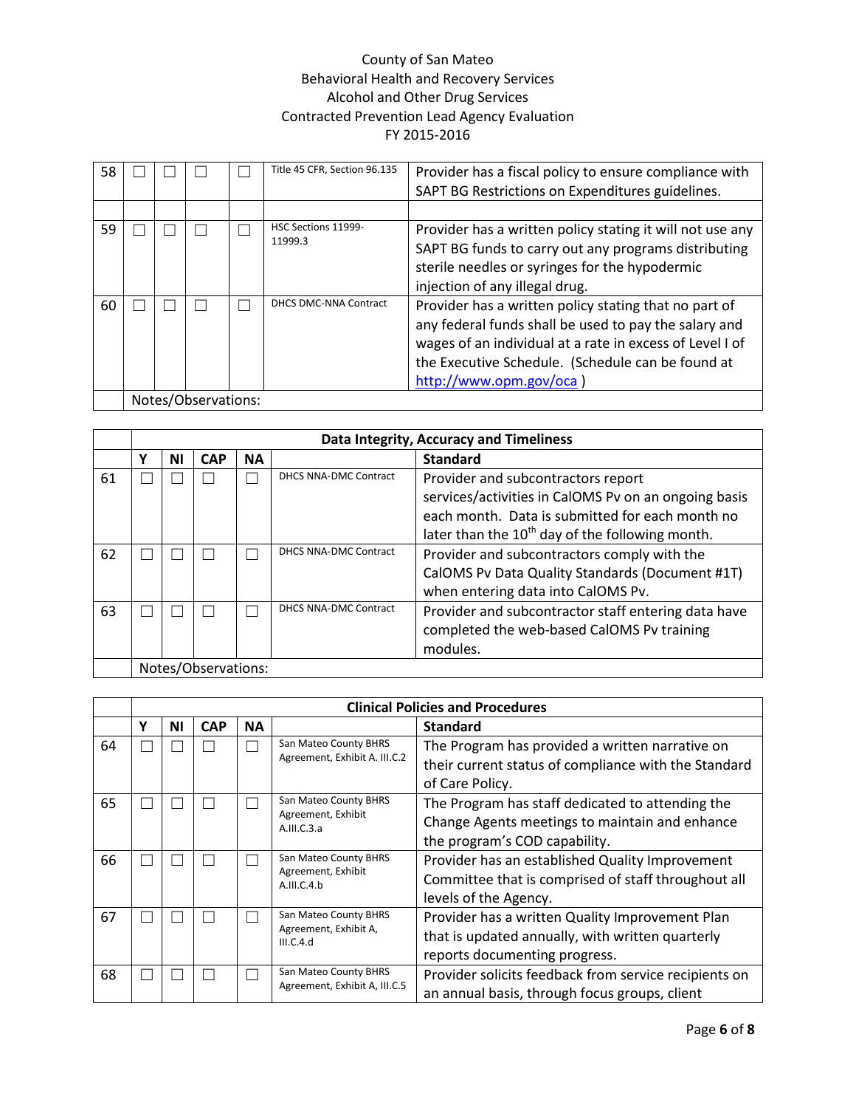| 58 |  |                     | Title 45 CFR, Section 96.135   | Provider has a fiscal policy to ensure compliance with<br>SAPT BG Restrictions on Expenditures guidelines.                                                                                                                                                 |
|----|--|---------------------|--------------------------------|------------------------------------------------------------------------------------------------------------------------------------------------------------------------------------------------------------------------------------------------------------|
|    |  |                     |                                |                                                                                                                                                                                                                                                            |
| 59 |  |                     | HSC Sections 11999-<br>11999.3 | Provider has a written policy stating it will not use any<br>SAPT BG funds to carry out any programs distributing<br>sterile needles or syringes for the hypodermic<br>injection of any illegal drug.                                                      |
| 60 |  |                     | <b>DHCS DMC-NNA Contract</b>   | Provider has a written policy stating that no part of<br>any federal funds shall be used to pay the salary and<br>wages of an individual at a rate in excess of Level I of<br>the Executive Schedule. (Schedule can be found at<br>http://www.opm.gov/oca) |
|    |  | Notes/Observations: |                                |                                                                                                                                                                                                                                                            |

|    |   | Data Integrity, Accuracy and Timeliness |                     |           |                       |                                                                                                                                                                                                       |  |  |  |
|----|---|-----------------------------------------|---------------------|-----------|-----------------------|-------------------------------------------------------------------------------------------------------------------------------------------------------------------------------------------------------|--|--|--|
|    | v | ΝI                                      | <b>CAP</b>          | <b>NA</b> |                       | <b>Standard</b>                                                                                                                                                                                       |  |  |  |
| 61 |   |                                         |                     |           | DHCS NNA-DMC Contract | Provider and subcontractors report<br>services/activities in CalOMS Pv on an ongoing basis<br>each month. Data is submitted for each month no<br>later than the $10^{th}$ day of the following month. |  |  |  |
| 62 |   |                                         |                     |           | DHCS NNA-DMC Contract | Provider and subcontractors comply with the<br>CalOMS Pv Data Quality Standards (Document #1T)<br>when entering data into CalOMS Pv.                                                                  |  |  |  |
| 63 |   |                                         |                     |           | DHCS NNA-DMC Contract | Provider and subcontractor staff entering data have<br>completed the web-based CalOMS Pv training<br>modules.                                                                                         |  |  |  |
|    |   |                                         | Notes/Observations: |           |                       |                                                                                                                                                                                                       |  |  |  |

|    |   |    |            |           |                                    | <b>Clinical Policies and Procedures</b>               |
|----|---|----|------------|-----------|------------------------------------|-------------------------------------------------------|
|    | Υ | ΝI | <b>CAP</b> | <b>NA</b> |                                    | <b>Standard</b>                                       |
| 64 |   |    |            |           | San Mateo County BHRS              | The Program has provided a written narrative on       |
|    |   |    |            |           | Agreement, Exhibit A. III.C.2      | their current status of compliance with the Standard  |
|    |   |    |            |           |                                    | of Care Policy.                                       |
| 65 |   |    |            |           | San Mateo County BHRS              | The Program has staff dedicated to attending the      |
|    |   |    |            |           | Agreement, Exhibit<br>A.III.C.3.a  | Change Agents meetings to maintain and enhance        |
|    |   |    |            |           |                                    | the program's COD capability.                         |
| 66 |   |    |            |           | San Mateo County BHRS              | Provider has an established Quality Improvement       |
|    |   |    |            |           | Agreement, Exhibit<br>A.III.C.4.b  | Committee that is comprised of staff throughout all   |
|    |   |    |            |           |                                    | levels of the Agency.                                 |
| 67 |   |    |            |           | San Mateo County BHRS              | Provider has a written Quality Improvement Plan       |
|    |   |    |            |           | Agreement, Exhibit A,<br>III.C.4.d | that is updated annually, with written quarterly      |
|    |   |    |            |           |                                    | reports documenting progress.                         |
| 68 |   |    |            |           | San Mateo County BHRS              | Provider solicits feedback from service recipients on |
|    |   |    |            |           | Agreement, Exhibit A, III.C.5      | an annual basis, through focus groups, client         |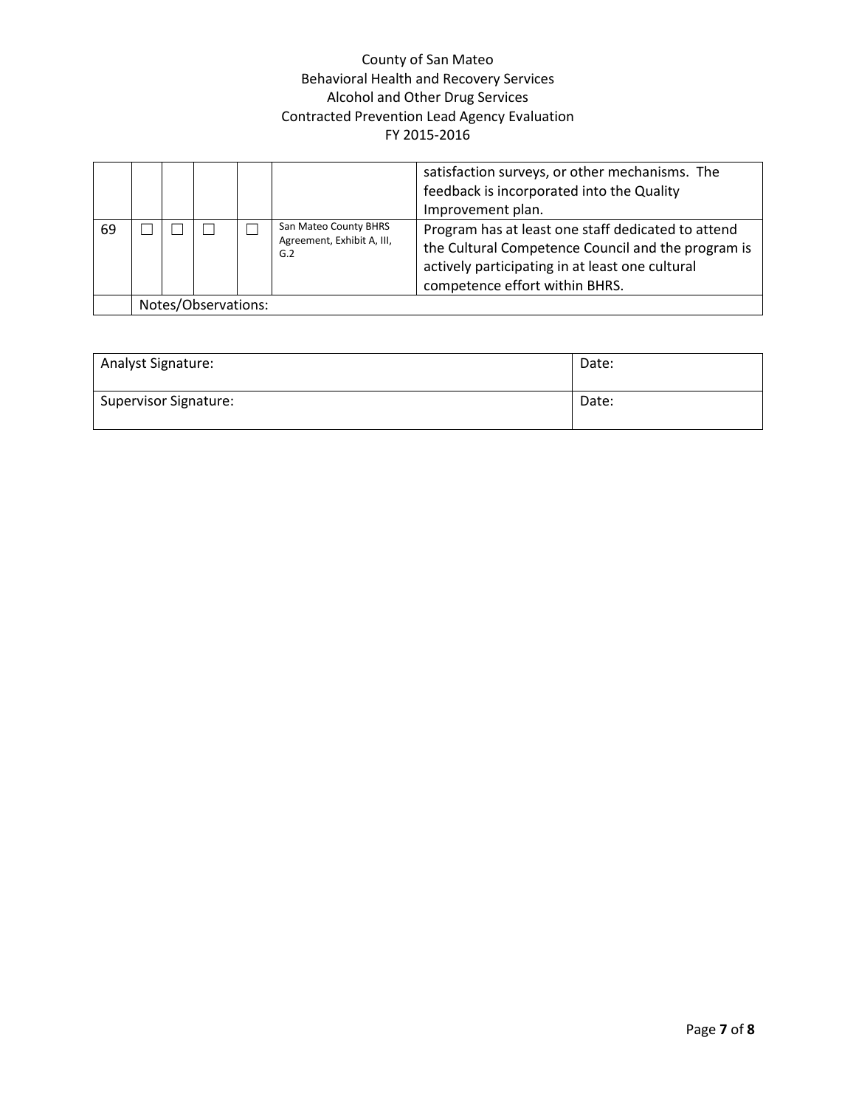|    |                     |  |  |                                                            | satisfaction surveys, or other mechanisms. The<br>feedback is incorporated into the Quality<br>Improvement plan.                                                                              |  |
|----|---------------------|--|--|------------------------------------------------------------|-----------------------------------------------------------------------------------------------------------------------------------------------------------------------------------------------|--|
| 69 |                     |  |  | San Mateo County BHRS<br>Agreement, Exhibit A, III,<br>G.2 | Program has at least one staff dedicated to attend<br>the Cultural Competence Council and the program is<br>actively participating in at least one cultural<br>competence effort within BHRS. |  |
|    | Notes/Observations: |  |  |                                                            |                                                                                                                                                                                               |  |

| <b>Analyst Signature:</b>    | Date: |
|------------------------------|-------|
| <b>Supervisor Signature:</b> | Date: |